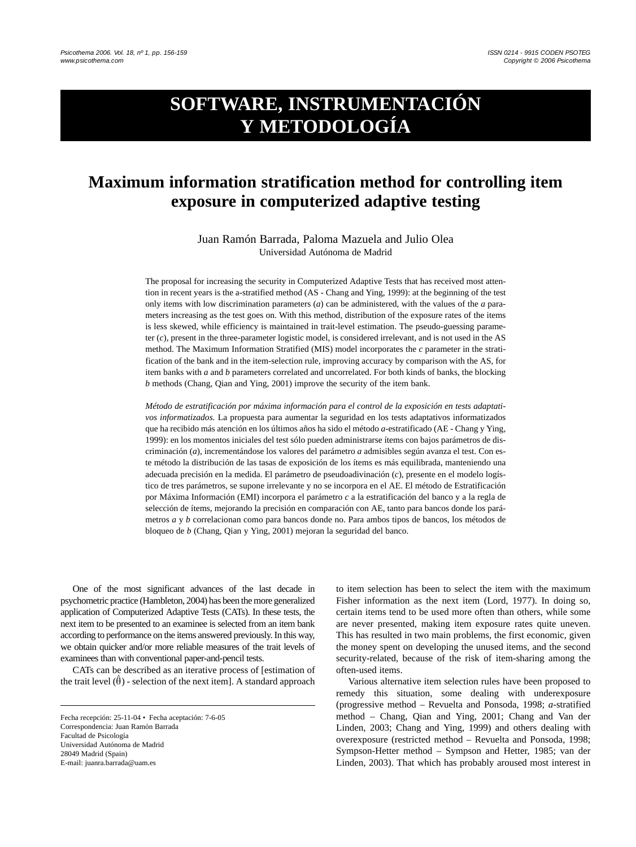# **SOFTWARE, INSTRUMENTACIÓN Y METODOLOGÍA**

# **Maximum information stratification method for controlling item exposure in computerized adaptive testing**

Juan Ramón Barrada, Paloma Mazuela and Julio Olea Universidad Autónoma de Madrid

The proposal for increasing the security in Computerized Adaptive Tests that has received most attention in recent years is the a-stratified method (AS - Chang and Ying, 1999): at the beginning of the test only items with low discrimination parameters (*a*) can be administered, with the values of the *a* parameters increasing as the test goes on. With this method, distribution of the exposure rates of the items is less skewed, while efficiency is maintained in trait-level estimation. The pseudo-guessing parameter (*c*), present in the three-parameter logistic model, is considered irrelevant, and is not used in the AS method. The Maximum Information Stratified (MIS) model incorporates the *c* parameter in the stratification of the bank and in the item-selection rule, improving accuracy by comparison with the AS, for item banks with *a* and *b* parameters correlated and uncorrelated. For both kinds of banks, the blocking *b* methods (Chang, Qian and Ying, 2001) improve the security of the item bank.

*Método de estratificación por máxima información para el control de la exposición en tests adaptativos informatizados.* La propuesta para aumentar la seguridad en los tests adaptativos informatizados que ha recibido más atención en los últimos años ha sido el método *a*-estratificado (AE - Chang y Ying, 1999): en los momentos iniciales del test sólo pueden administrarse ítems con bajos parámetros de discriminación (*a*), incrementándose los valores del parámetro *a* admisibles según avanza el test. Con este método la distribución de las tasas de exposición de los ítems es más equilibrada, manteniendo una adecuada precisión en la medida. El parámetro de pseudoadivinación (*c*), presente en el modelo logístico de tres parámetros, se supone irrelevante y no se incorpora en el AE. El método de Estratificación por Máxima Información (EMI) incorpora el parámetro *c* a la estratificación del banco y a la regla de selección de ítems, mejorando la precisión en comparación con AE, tanto para bancos donde los parámetros *a* y *b* correlacionan como para bancos donde no. Para ambos tipos de bancos, los métodos de bloqueo de *b* (Chang, Qian y Ying, 2001) mejoran la seguridad del banco.

One of the most significant advances of the last decade in psychometric practice (Hambleton, 2004) has been the more generalized application of Computerized Adaptive Tests (CATs). In these tests, the next item to be presented to an examinee is selected from an item bank according to performance on the items answered previously. In this way, we obtain quicker and/or more reliable measures of the trait levels of examinees than with conventional paper-and-pencil tests.

CATs can be described as an iterative process of [estimation of the trait level  $(\hat{\theta})$  - selection of the next item]. A standard approach

to item selection has been to select the item with the maximum Fisher information as the next item (Lord, 1977). In doing so, certain items tend to be used more often than others, while some are never presented, making item exposure rates quite uneven. This has resulted in two main problems, the first economic, given the money spent on developing the unused items, and the second security-related, because of the risk of item-sharing among the often-used items.

Various alternative item selection rules have been proposed to remedy this situation, some dealing with underexposure (progressive method – Revuelta and Ponsoda, 1998; *a*-stratified method – Chang, Qian and Ying, 2001; Chang and Van der Linden, 2003; Chang and Ying, 1999) and others dealing with overexposure (restricted method – Revuelta and Ponsoda, 1998; Sympson-Hetter method – Sympson and Hetter, 1985; van der Linden, 2003). That which has probably aroused most interest in

Fecha recepción: 25-11-04 • Fecha aceptación: 7-6-05 Correspondencia: Juan Ramón Barrada Facultad de Psicología Universidad Autónoma de Madrid 28049 Madrid (Spain) E-mail: juanra.barrada@uam.es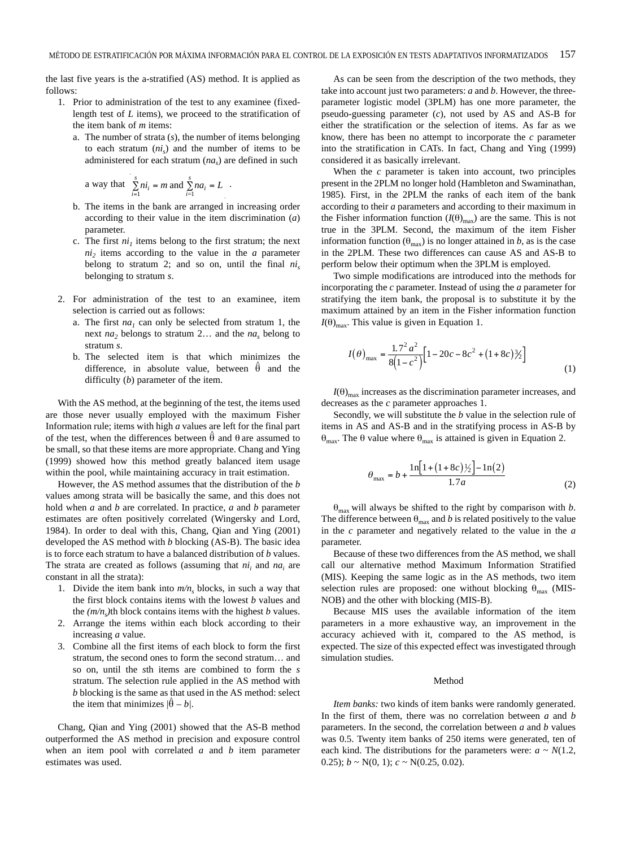the last five years is the a-stratified (AS) method. It is applied as follows:

- 1. Prior to administration of the test to any examinee (fixedlength test of *L* items), we proceed to the stratification of the item bank of *m* items:
	- a. The number of strata (*s*), the number of items belonging to each stratum  $(n_i)$  and the number of items to be administered for each stratum (*nas*) are defined in such

a way that 
$$
\sum_{i=1}^{s} ni_i = m \text{ and } \sum_{i=1}^{s} na_i = L.
$$

- b. The items in the bank are arranged in increasing order according to their value in the item discrimination (*a*) parameter.
- c. The first  $ni<sub>1</sub>$  items belong to the first stratum; the next  $ni<sub>2</sub>$  items according to the value in the *a* parameter belong to stratum 2; and so on, until the final  $ni_s$ belonging to stratum *s*.
- 2. For administration of the test to an examinee, item selection is carried out as follows:
	- a. The first  $na_1$  can only be selected from stratum 1, the next *na*<sub>2</sub> belongs to stratum 2... and the *na*<sub>s</sub> belong to stratum *s*.
	- b. The selected item is that which minimizes the difference, in absolute value, between  $\hat{\theta}$  and the difficulty (*b*) parameter of the item.

With the AS method, at the beginning of the test, the items used are those never usually employed with the maximum Fisher Information rule; items with high *a* values are left for the final part of the test, when the differences between  $\hat{\theta}$  and  $\theta$  are assumed to be small, so that these items are more appropriate. Chang and Ying (1999) showed how this method greatly balanced item usage within the pool, while maintaining accuracy in trait estimation.

However, the AS method assumes that the distribution of the *b* values among strata will be basically the same, and this does not hold when *a* and *b* are correlated. In practice, *a* and *b* parameter estimates are often positively correlated (Wingersky and Lord, 1984). In order to deal with this, Chang, Qian and Ying (2001) developed the AS method with *b* blocking (AS-B). The basic idea is to force each stratum to have a balanced distribution of *b* values. The strata are created as follows (assuming that *ni*<sub>i</sub> and *na*<sub>i</sub> are constant in all the strata):

- 1. Divide the item bank into  $m/n_s$  blocks, in such a way that the first block contains items with the lowest *b* values and the  $(m/n_s)$ <sup>th</sup> block contains items with the highest *b* values.
- 2. Arrange the items within each block according to their increasing *a* value.
- 3. Combine all the first items of each block to form the first stratum, the second ones to form the second stratum… and so on, until the *s*th items are combined to form the *s* stratum. The selection rule applied in the AS method with *b* blocking is the same as that used in the AS method: select the item that minimizes  $|\hat{\theta} - b|$ .

Chang, Qian and Ying (2001) showed that the AS-B method outperformed the AS method in precision and exposure control when an item pool with correlated *a* and *b* item parameter estimates was used.

As can be seen from the description of the two methods, they take into account just two parameters: *a* and *b*. However, the threeparameter logistic model (3PLM) has one more parameter, the pseudo-guessing parameter (*c*), not used by AS and AS-B for either the stratification or the selection of items. As far as we know, there has been no attempt to incorporate the *c* parameter into the stratification in CATs. In fact, Chang and Ying (1999) considered it as basically irrelevant.

When the *c* parameter is taken into account, two principles present in the 2PLM no longer hold (Hambleton and Swaminathan, 1985). First, in the 2PLM the ranks of each item of the bank according to their *a* parameters and according to their maximum in the Fisher information function  $(I(\theta)_{\text{max}})$  are the same. This is not true in the 3PLM. Second, the maximum of the item Fisher information function ( $\theta_{\text{max}}$ ) is no longer attained in *b*, as is the case in the 2PLM. These two differences can cause AS and AS-B to perform below their optimum when the 3PLM is employed.

Two simple modifications are introduced into the methods for incorporating the *c* parameter. Instead of using the *a* parameter for stratifying the item bank, the proposal is to substitute it by the maximum attained by an item in the Fisher information function  $I(\theta)_{\text{max}}$ . This value is given in Equation 1.

$$
I(\theta)_{\text{max}} = \frac{1.7^2 a^2}{8(1 - c^2)} \Big[ 1 - 20c - 8c^2 + (1 + 8c)\frac{3}{2} \Big]
$$
 (1)

 $I(\theta)_{\text{max}}$  increases as the discrimination parameter increases, and decreases as the *c* parameter approaches 1.

Secondly, we will substitute the *b* value in the selection rule of items in AS and AS-B and in the stratifying process in AS-B by θ<sub>max</sub>. The θ value where  $θ_{max}$  is attained is given in Equation 2.

$$
\theta_{\text{max}} = b + \frac{\ln[1 + (1 + 8c)\frac{1}{2}] - \ln(2)}{1.7a} \tag{2}
$$

 $\theta_{\text{max}}$  will always be shifted to the right by comparison with *b*. The difference between  $\theta_{\text{max}}$  and *b* is related positively to the value in the *c* parameter and negatively related to the value in the *a* parameter.

Because of these two differences from the AS method, we shall call our alternative method Maximum Information Stratified (MIS). Keeping the same logic as in the AS methods, two item selection rules are proposed: one without blocking  $\theta_{\text{max}}$  (MIS-NOB) and the other with blocking (MIS-B).

Because MIS uses the available information of the item parameters in a more exhaustive way, an improvement in the accuracy achieved with it, compared to the AS method, is expected. The size of this expected effect was investigated through simulation studies.

# Method

*Item banks:* two kinds of item banks were randomly generated. In the first of them, there was no correlation between *a* and *b* parameters. In the second, the correlation between *a* and *b* values was 0.5. Twenty item banks of 250 items were generated, ten of each kind. The distributions for the parameters were:  $a \sim N(1.2)$ , 0.25);  $b \sim N(0, 1)$ ;  $c \sim N(0.25, 0.02)$ .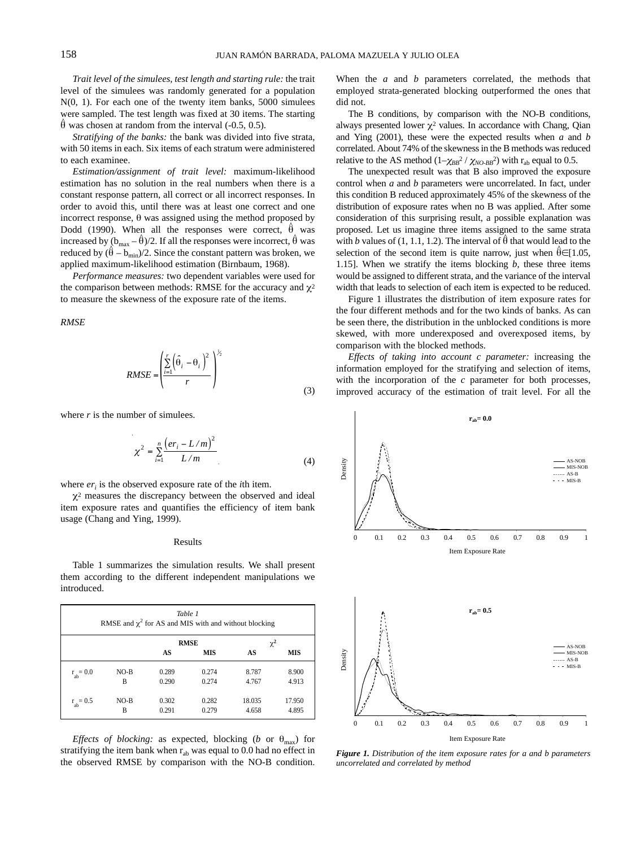*Trait level of the simulees, test length and starting rule:* the trait level of the simulees was randomly generated for a population  $N(0, 1)$ . For each one of the twenty item banks, 5000 simulees were sampled. The test length was fixed at 30 items. The starting  $\hat{\theta}$  was chosen at random from the interval (-0.5, 0.5).

*Stratifying of the banks:* the bank was divided into five strata, with 50 items in each. Six items of each stratum were administered to each examinee.

*Estimation/assignment of trait level:* maximum-likelihood estimation has no solution in the real numbers when there is a constant response pattern, all correct or all incorrect responses. In order to avoid this, until there was at least one correct and one incorrect response,  $\theta$  was assigned using the method proposed by Dodd (1990). When all the responses were correct,  $\hat{\theta}$  was increased by  $(b_{\text{max}} - \hat{\theta})/2$ . If all the responses were incorrect,  $\hat{\theta}$  was reduced by  $(\hat{\theta} - b_{\min})/2$ . Since the constant pattern was broken, we applied maximum-likelihood estimation (Birnbaum, 1968).

*Performance measures:* two dependent variables were used for the comparison between methods: RMSE for the accuracy and  $\chi^2$ to measure the skewness of the exposure rate of the items.

*RMSE*

$$
RMSE = \left(\frac{\sum_{i=1}^{r} (\hat{\theta}_i - \theta_i)^2}{r}\right)^{\frac{1}{2}}
$$
(3)

where  $r$  is the number of simulees.

$$
\chi^2 = \sum_{i=1}^n \frac{(er_i - L/m)^2}{L/m}
$$
 (4)

where *er<sub>i</sub>* is the observed exposure rate of the *i*th item.

 $\chi^2$  measures the discrepancy between the observed and ideal item exposure rates and quantifies the efficiency of item bank usage (Chang and Ying, 1999).

#### Results

Table 1 summarizes the simulation results. We shall present them according to the different independent manipulations we introduced.

| Table 1<br>RMSE and $\chi^2$ for AS and MIS with and without blocking |        |             |            |          |            |
|-----------------------------------------------------------------------|--------|-------------|------------|----------|------------|
|                                                                       |        | <b>RMSE</b> |            | $\chi^2$ |            |
|                                                                       |        | AS          | <b>MIS</b> | AS       | <b>MIS</b> |
| $r_{ab} = 0.0$                                                        | $NO-B$ | 0.289       | 0.274      | 8.787    | 8.900      |
|                                                                       | B      | 0.290       | 0.274      | 4.767    | 4.913      |
| $r_{ab} = 0.5$                                                        | $NO-B$ | 0.302       | 0.282      | 18.035   | 17.950     |
|                                                                       | B      | 0.291       | 0.279      | 4.658    | 4.895      |

*Effects of blocking:* as expected, blocking (*b* or  $\theta_{\text{max}}$ ) for stratifying the item bank when  $r_{ab}$  was equal to 0.0 had no effect in the observed RMSE by comparison with the NO-B condition.

When the *a* and *b* parameters correlated, the methods that employed strata-generated blocking outperformed the ones that did not.

The B conditions, by comparison with the NO-B conditions, always presented lower  $\chi^2$  values. In accordance with Chang, Qian and Ying (2001), these were the expected results when *a* and *b* correlated. About 74% of the skewness in the B methods was reduced relative to the AS method  $(1-\chi_{BB}^2/\chi_{NO-BB}^2)$  with r<sub>ab</sub> equal to 0.5.

The unexpected result was that B also improved the exposure control when *a* and *b* parameters were uncorrelated. In fact, under this condition B reduced approximately 45% of the skewness of the distribution of exposure rates when no B was applied. After some consideration of this surprising result, a possible explanation was proposed. Let us imagine three items assigned to the same strata with *b* values of (1, 1.1, 1.2). The interval of  $\hat{\theta}$  that would lead to the selection of the second item is quite narrow, just when  $\hat{\theta} \in [1.05,$ 1.15]. When we stratify the items blocking *b*, these three items would be assigned to different strata, and the variance of the interval width that leads to selection of each item is expected to be reduced.

Figure 1 illustrates the distribution of item exposure rates for the four different methods and for the two kinds of banks. As can be seen there, the distribution in the unblocked conditions is more skewed, with more underexposed and overexposed items, by comparison with the blocked methods.

*Effects of taking into account c parameter:* increasing the information employed for the stratifying and selection of items, with the incorporation of the *c* parameter for both processes, improved accuracy of the estimation of trait level. For all the



*Figure 1. Distribution of the item exposure rates for a and b parameters uncorrelated and correlated by method*